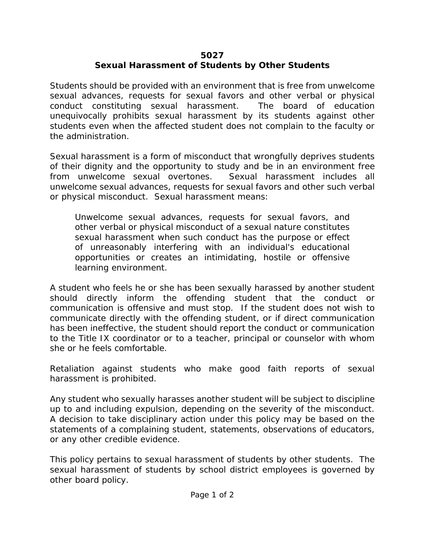## **5027 Sexual Harassment of Students by Other Students**

Students should be provided with an environment that is free from unwelcome sexual advances, requests for sexual favors and other verbal or physical conduct constituting sexual harassment. The board of education unequivocally prohibits sexual harassment by its students against other students even when the affected student does not complain to the faculty or the administration.

Sexual harassment is a form of misconduct that wrongfully deprives students of their dignity and the opportunity to study and be in an environment free from unwelcome sexual overtones. Sexual harassment includes all unwelcome sexual advances, requests for sexual favors and other such verbal or physical misconduct. Sexual harassment means:

Unwelcome sexual advances, requests for sexual favors, and other verbal or physical misconduct of a sexual nature constitutes sexual harassment when such conduct has the purpose or effect of unreasonably interfering with an individual's educational opportunities or creates an intimidating, hostile or offensive learning environment.

A student who feels he or she has been sexually harassed by another student should directly inform the offending student that the conduct or communication is offensive and must stop. If the student does not wish to communicate directly with the offending student, or if direct communication has been ineffective, the student should report the conduct or communication to the Title IX coordinator or to a teacher, principal or counselor with whom she or he feels comfortable.

Retaliation against students who make good faith reports of sexual harassment is prohibited.

Any student who sexually harasses another student will be subject to discipline up to and including expulsion, depending on the severity of the misconduct. A decision to take disciplinary action under this policy may be based on the statements of a complaining student, statements, observations of educators, or any other credible evidence.

This policy pertains to sexual harassment of students by other students. The sexual harassment of students by school district employees is governed by other board policy.